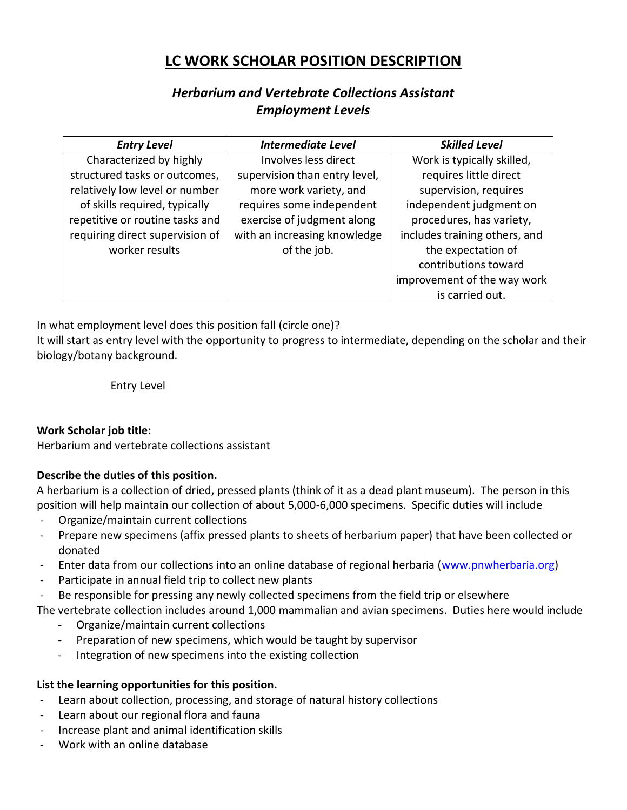# **LC WORK SCHOLAR POSITION DESCRIPTION**

## *Herbarium and Vertebrate Collections Assistant Employment Levels*

| <b>Entry Level</b>              | <b>Intermediate Level</b>     | <b>Skilled Level</b>          |
|---------------------------------|-------------------------------|-------------------------------|
| Characterized by highly         | Involves less direct          | Work is typically skilled,    |
| structured tasks or outcomes,   | supervision than entry level, | requires little direct        |
| relatively low level or number  | more work variety, and        | supervision, requires         |
| of skills required, typically   | requires some independent     | independent judgment on       |
| repetitive or routine tasks and | exercise of judgment along    | procedures, has variety,      |
| requiring direct supervision of | with an increasing knowledge  | includes training others, and |
| worker results                  | of the job.                   | the expectation of            |
|                                 |                               | contributions toward          |
|                                 |                               | improvement of the way work   |
|                                 |                               | is carried out.               |

In what employment level does this position fall (circle one)?

It will start as entry level with the opportunity to progress to intermediate, depending on the scholar and their biology/botany background.

Entry Level

#### **Work Scholar job title:**

Herbarium and vertebrate collections assistant

#### **Describe the duties of this position.**

A herbarium is a collection of dried, pressed plants (think of it as a dead plant museum). The person in this position will help maintain our collection of about 5,000-6,000 specimens. Specific duties will include

- Organize/maintain current collections
- Prepare new specimens (affix pressed plants to sheets of herbarium paper) that have been collected or donated
- Enter data from our collections into an online database of regional herbaria [\(www.pnwherbaria.org\)](http://www.pnwherbaria.org/)
- Participate in annual field trip to collect new plants
- Be responsible for pressing any newly collected specimens from the field trip or elsewhere

The vertebrate collection includes around 1,000 mammalian and avian specimens. Duties here would include

- Organize/maintain current collections
- Preparation of new specimens, which would be taught by supervisor
- Integration of new specimens into the existing collection

#### **List the learning opportunities for this position.**

- Learn about collection, processing, and storage of natural history collections
- Learn about our regional flora and fauna
- Increase plant and animal identification skills
- Work with an online database